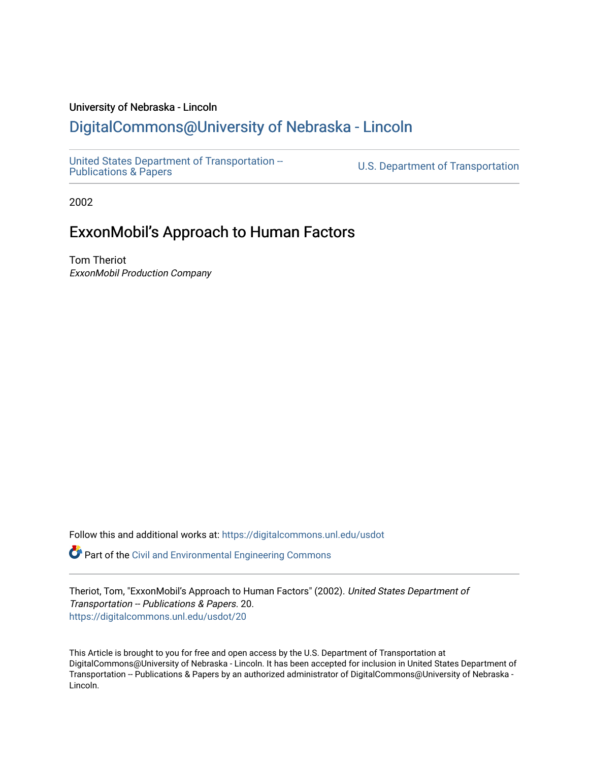#### University of Nebraska - Lincoln

#### [DigitalCommons@University of Nebraska - Lincoln](https://digitalcommons.unl.edu/)

[United States Department of Transportation --](https://digitalcommons.unl.edu/usdot)<br>Publications & Papers

U.S. Department of Transportation

2002

#### ExxonMobil's Approach to Human Factors

Tom Theriot ExxonMobil Production Company

Follow this and additional works at: [https://digitalcommons.unl.edu/usdot](https://digitalcommons.unl.edu/usdot?utm_source=digitalcommons.unl.edu%2Fusdot%2F20&utm_medium=PDF&utm_campaign=PDFCoverPages) 

Part of the [Civil and Environmental Engineering Commons](http://network.bepress.com/hgg/discipline/251?utm_source=digitalcommons.unl.edu%2Fusdot%2F20&utm_medium=PDF&utm_campaign=PDFCoverPages)

Theriot, Tom, "ExxonMobil's Approach to Human Factors" (2002). United States Department of Transportation -- Publications & Papers. 20. [https://digitalcommons.unl.edu/usdot/20](https://digitalcommons.unl.edu/usdot/20?utm_source=digitalcommons.unl.edu%2Fusdot%2F20&utm_medium=PDF&utm_campaign=PDFCoverPages)

This Article is brought to you for free and open access by the U.S. Department of Transportation at DigitalCommons@University of Nebraska - Lincoln. It has been accepted for inclusion in United States Department of Transportation -- Publications & Papers by an authorized administrator of DigitalCommons@University of Nebraska - Lincoln.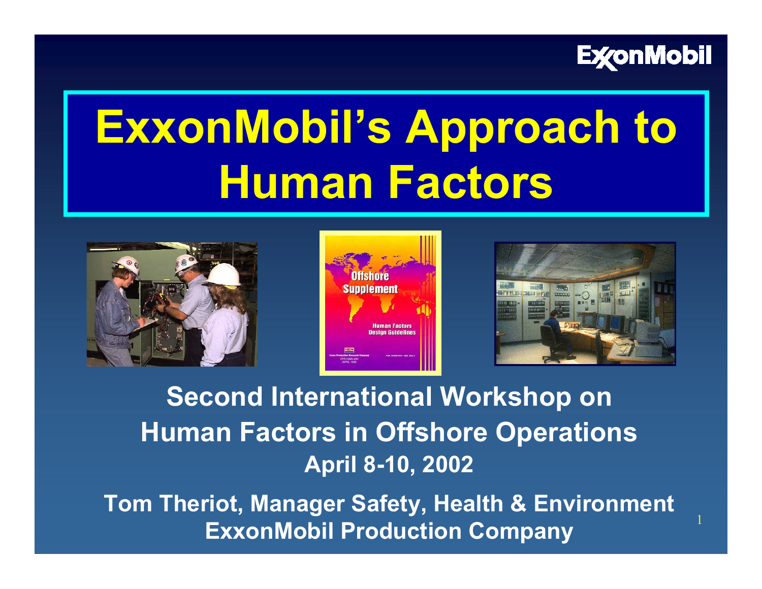

1

# **ExxonMobil's Approach to Human Factors**







**Second International Workshop on Human Factors in Offshore Operations April 8-10, 2002**

**Tom Theriot, Manager Safety, Health & Environment ExxonMobil Production Company**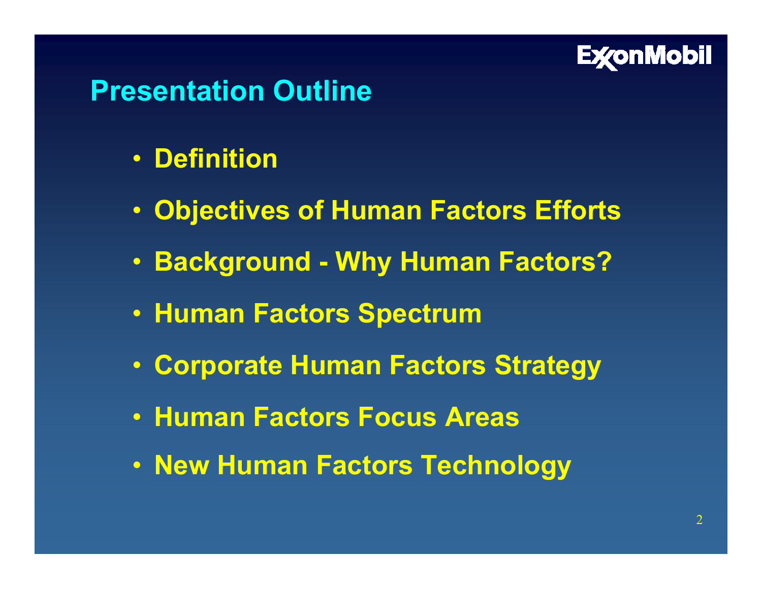

# **Presentation Outline**

- **Definition**
- **Objectives of Human Factors Efforts**
- **Background - Why Human Factors?**
- **Human Factors Spectrum**
- **Corporate Human Factors Strategy**
- **Human Factors Focus Areas**
- **New Human Factors Technology**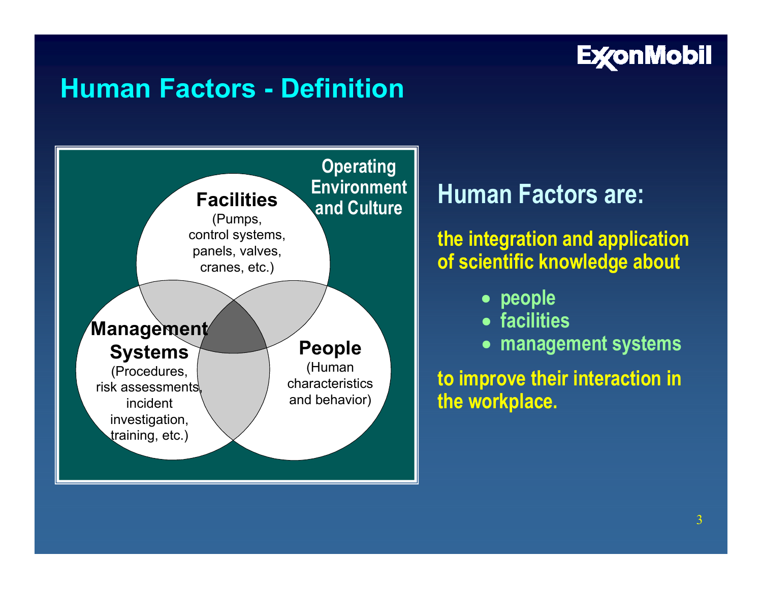

# **Human Factors - Definition**



#### **Human Factors are:**

#### **the integration and application of scientific knowledge about**

- **people**
- **facilities**
- **management systems**

**to improve their interaction in the workplace.**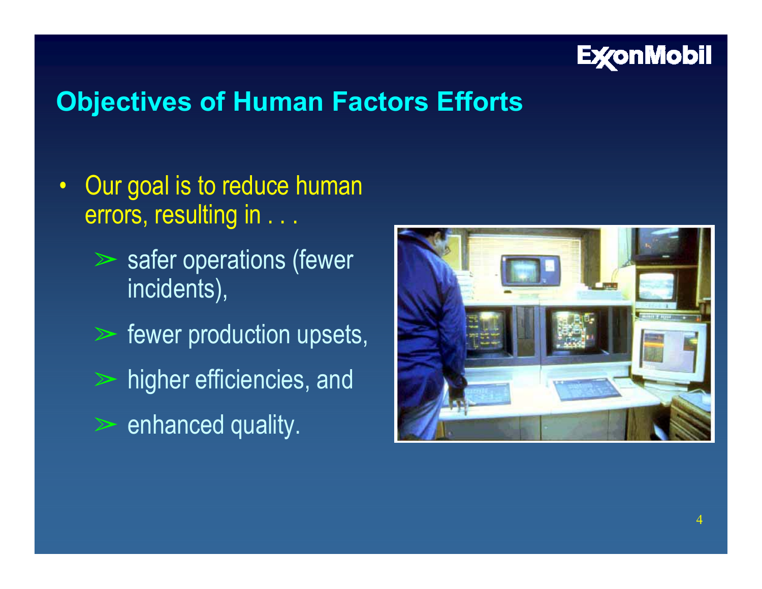

## **Objectives of Human Factors Efforts**

- $\bullet$ Our goal is to reduce human errors, resulting in . . .
	- $\triangleright$  safer operations (fewer incidents),
	- $\triangleright$  fewer production upsets,
	- $\triangleright$  higher efficiencies, and
	- $\triangleright$  enhanced quality.

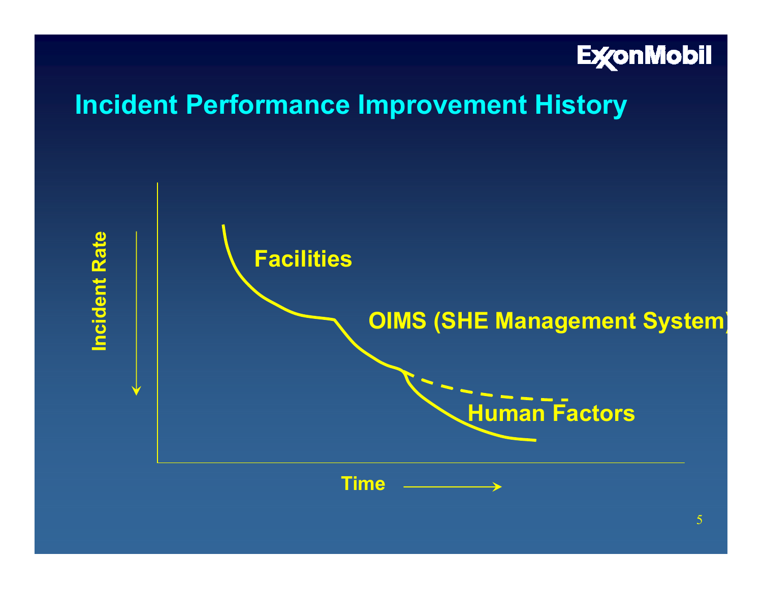

#### **Incident Performance Improvement History**

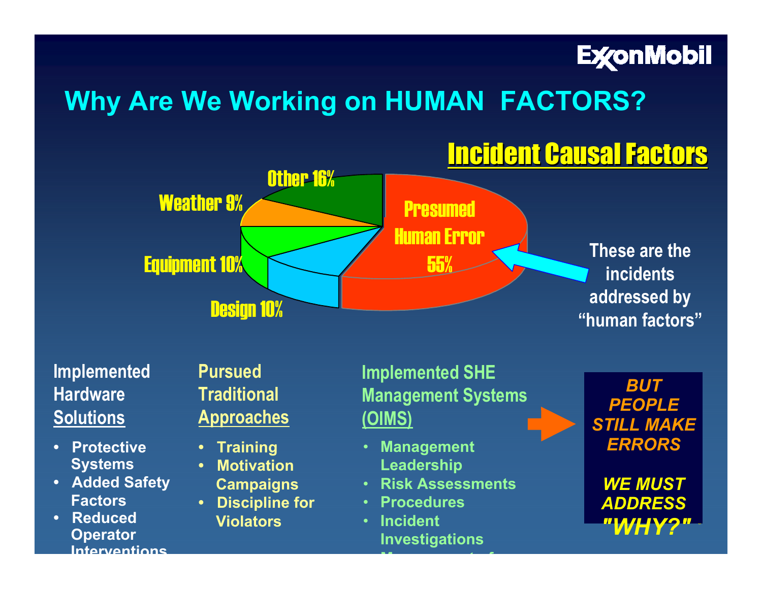

# **Why Are We Working on HUMAN FACTORS?**

# **Incident Causal Factors**



#### **Implemented HardwareSolutions**

- **Protective Systems**
- **Added Safety Factors**
- **Reduced Operator Interventions**

**Pursued Traditional Approaches**

- **Training**
- **Motivation**
- **Campaigns**
- **Discipline for Violators**

**Implemented SHE Management Systems (OIMS)** 

- **Management Leadership**
- •**Risk Assessments**
- **Procedures**
- • **Incident Investigations**

**M tf** **"human factors"**

*BUT PEOPLE STILL MAKE ERRORS*

*WE MUST ADDRESS"WHY?"*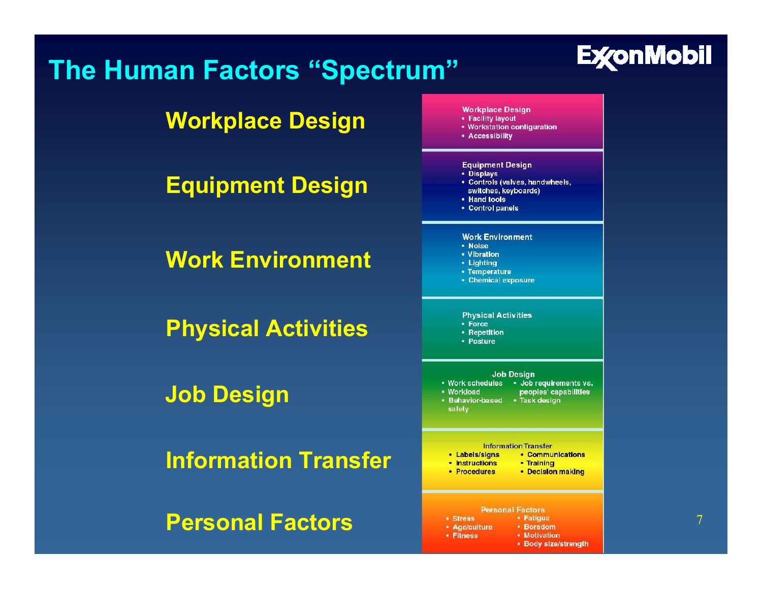## **The Human Factors "Spectrum"**



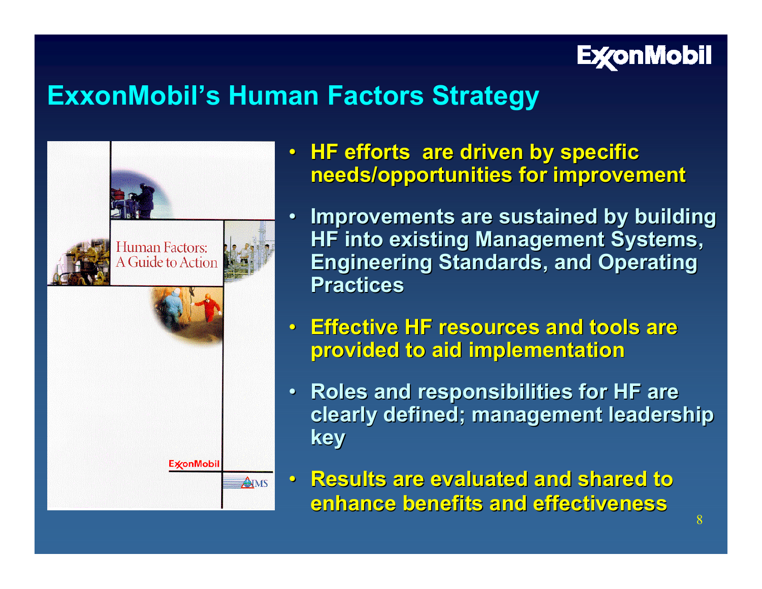

#### **ExxonMobil's Human Factors Strategy**



- **HF efforts are driven by specific needs/opportunities for improvement**
- •**Improvements are sustained by building HF into existing Management Systems, Engineering Standards, and Operating Practices Practices**
- **Effective HF resources and tools are Effective HF resources and tools are provided to aid implementation provided to aid implementation**
- **Roles and responsibilities for HF are Roles and responsibilities for HF are clearly defined; management leadership clearly defined; management leadership key**
- **Results are evaluated and shared to Results are evaluated and shared to enhance benefits and effectiveness enhance benefits and effectiveness**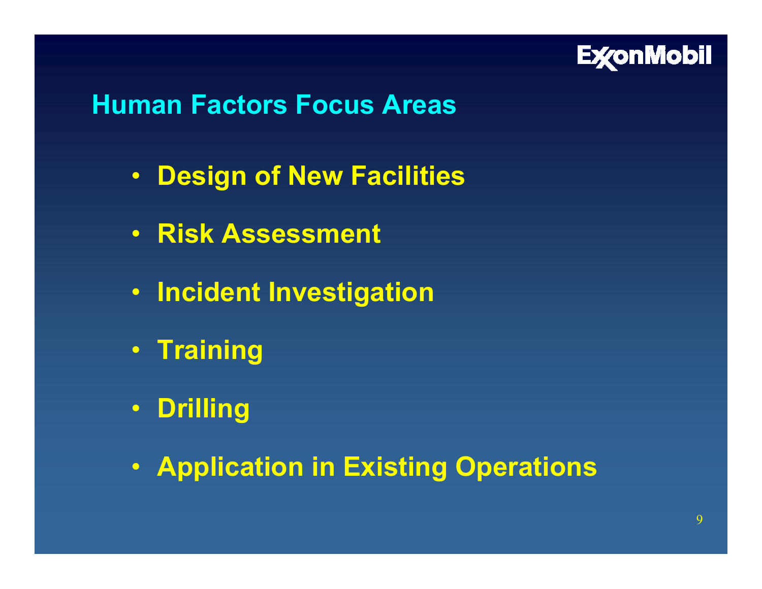

#### **Human Factors Focus Areas**

- **Design of New Facilities**
- **Risk Assessment**
- **Incident Investigation**
- **Training**
- **Drilling**
- **Application in Existing Operations**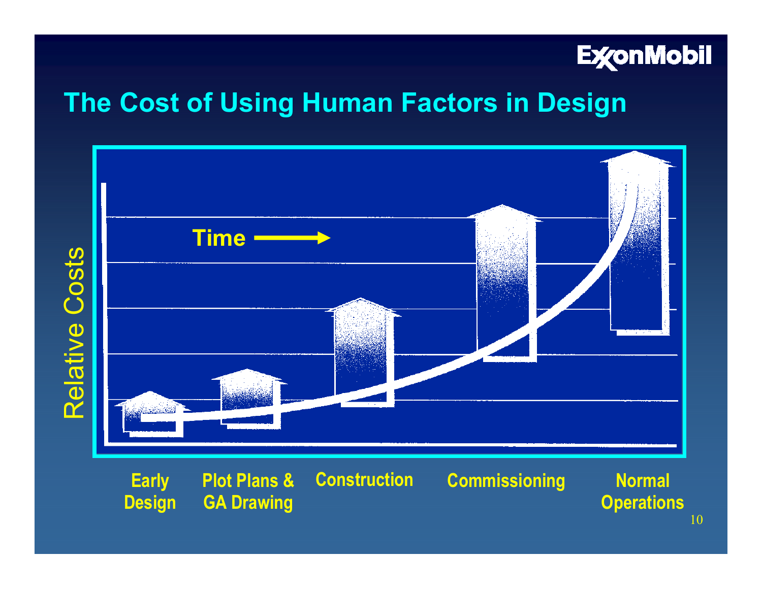

## **The Cost of Using Human Factors in Design**



**Design GA Drawing**

**Early Construction Plot Plans &**

**Commissioning**

**Normal Operations**